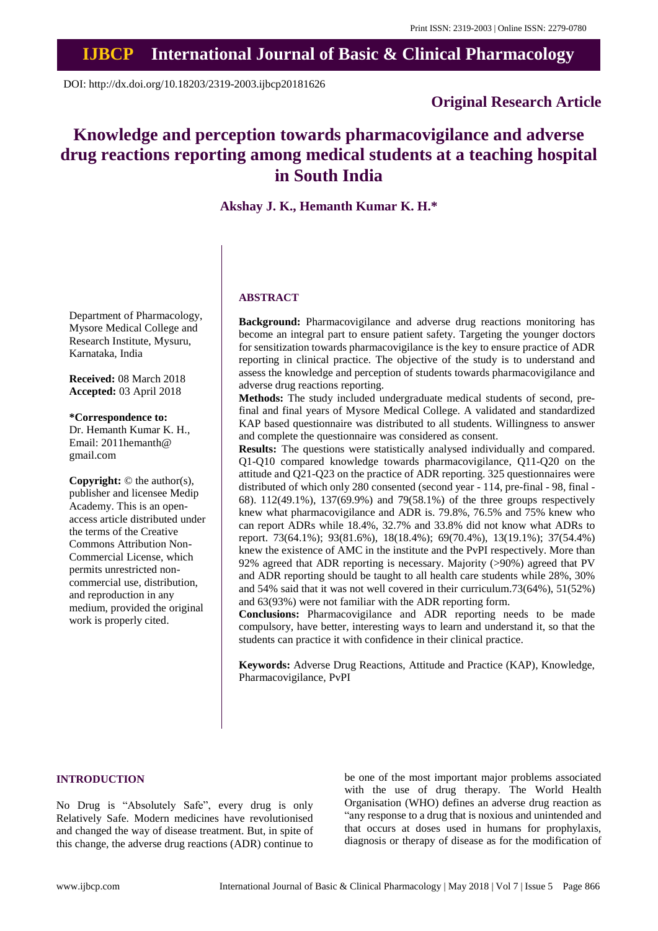# **IJBCP International Journal of Basic & Clinical Pharmacology**

DOI: http://dx.doi.org/10.18203/2319-2003.ijbcp20181626

# **Original Research Article**

# **Knowledge and perception towards pharmacovigilance and adverse drug reactions reporting among medical students at a teaching hospital in South India**

# **Akshay J. K., Hemanth Kumar K. H.\***

Department of Pharmacology, Mysore Medical College and Research Institute, Mysuru, Karnataka, India

**Received:** 08 March 2018 **Accepted:** 03 April 2018

**\*Correspondence to:** Dr. Hemanth Kumar K. H., Email: 2011hemanth@

gmail.com

**Copyright:** © the author(s), publisher and licensee Medip Academy. This is an openaccess article distributed under the terms of the Creative Commons Attribution Non-Commercial License, which permits unrestricted noncommercial use, distribution, and reproduction in any medium, provided the original work is properly cited.

# **ABSTRACT**

**Background:** Pharmacovigilance and adverse drug reactions monitoring has become an integral part to ensure patient safety. Targeting the younger doctors for sensitization towards pharmacovigilance is the key to ensure practice of ADR reporting in clinical practice. The objective of the study is to understand and assess the knowledge and perception of students towards pharmacovigilance and adverse drug reactions reporting.

**Methods:** The study included undergraduate medical students of second, prefinal and final years of Mysore Medical College. A validated and standardized KAP based questionnaire was distributed to all students. Willingness to answer and complete the questionnaire was considered as consent.

**Results:** The questions were statistically analysed individually and compared. Q1-Q10 compared knowledge towards pharmacovigilance, Q11-Q20 on the attitude and Q21-Q23 on the practice of ADR reporting. 325 questionnaires were distributed of which only 280 consented (second year - 114, pre-final - 98, final - 68). 112(49.1%), 137(69.9%) and 79(58.1%) of the three groups respectively knew what pharmacovigilance and ADR is. 79.8%, 76.5% and 75% knew who can report ADRs while 18.4%, 32.7% and 33.8% did not know what ADRs to report. 73(64.1%); 93(81.6%), 18(18.4%); 69(70.4%), 13(19.1%); 37(54.4%) knew the existence of AMC in the institute and the PvPI respectively. More than 92% agreed that ADR reporting is necessary. Majority (>90%) agreed that PV and ADR reporting should be taught to all health care students while 28%, 30% and 54% said that it was not well covered in their curriculum.73(64%), 51(52%) and 63(93%) were not familiar with the ADR reporting form.

**Conclusions:** Pharmacovigilance and ADR reporting needs to be made compulsory, have better, interesting ways to learn and understand it, so that the students can practice it with confidence in their clinical practice.

**Keywords:** Adverse Drug Reactions, Attitude and Practice (KAP), Knowledge, Pharmacovigilance, PvPI

# **INTRODUCTION**

No Drug is "Absolutely Safe", every drug is only Relatively Safe. Modern medicines have revolutionised and changed the way of disease treatment. But, in spite of this change, the adverse drug reactions (ADR) continue to

be one of the most important major problems associated with the use of drug therapy. The World Health Organisation (WHO) defines an adverse drug reaction as "any response to a drug that is noxious and unintended and that occurs at doses used in humans for prophylaxis, diagnosis or therapy of disease as for the modification of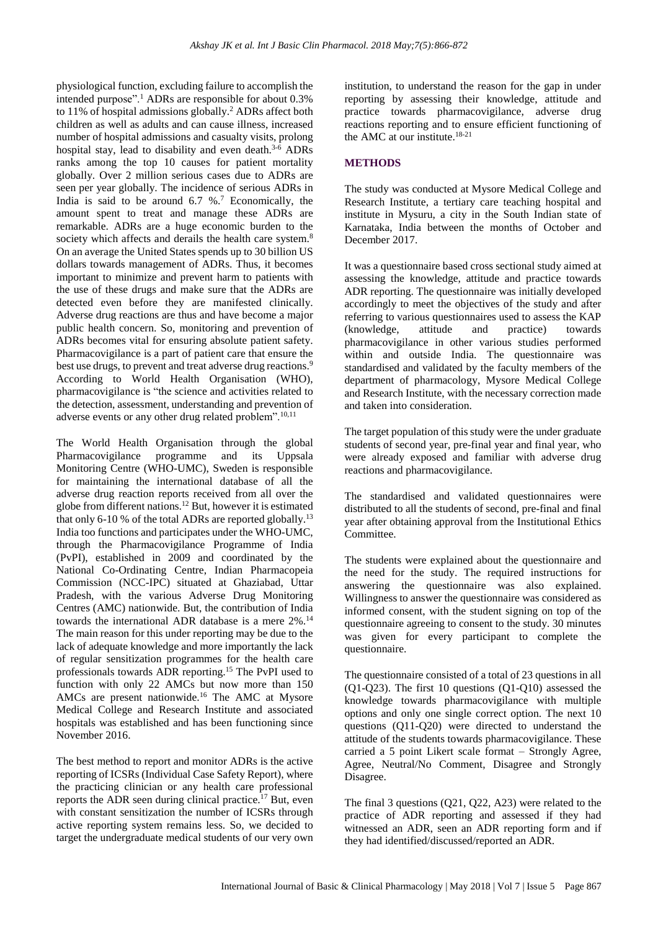physiological function, excluding failure to accomplish the intended purpose".<sup>1</sup> ADRs are responsible for about 0.3% to 11% of hospital admissions globally.<sup>2</sup> ADRs affect both children as well as adults and can cause illness, increased number of hospital admissions and casualty visits, prolong hospital stay, lead to disability and even death.<sup>3-6</sup> ADRs ranks among the top 10 causes for patient mortality globally. Over 2 million serious cases due to ADRs are seen per year globally. The incidence of serious ADRs in India is said to be around  $6.7 \%$ .<sup>7</sup> Economically, the amount spent to treat and manage these ADRs are remarkable. ADRs are a huge economic burden to the society which affects and derails the health care system.<sup>8</sup> On an average the United States spends up to 30 billion US dollars towards management of ADRs. Thus, it becomes important to minimize and prevent harm to patients with the use of these drugs and make sure that the ADRs are detected even before they are manifested clinically. Adverse drug reactions are thus and have become a major public health concern. So, monitoring and prevention of ADRs becomes vital for ensuring absolute patient safety. Pharmacovigilance is a part of patient care that ensure the best use drugs, to prevent and treat adverse drug reactions.<sup>9</sup> According to World Health Organisation (WHO), pharmacovigilance is "the science and activities related to the detection, assessment, understanding and prevention of adverse events or any other drug related problem".<sup>10,11</sup>

The World Health Organisation through the global Pharmacovigilance programme and its Uppsala Monitoring Centre (WHO-UMC), Sweden is responsible for maintaining the international database of all the adverse drug reaction reports received from all over the globe from different nations.<sup>12</sup> But, however it is estimated that only 6-10 % of the total ADRs are reported globally.<sup>13</sup> India too functions and participates under the WHO-UMC, through the Pharmacovigilance Programme of India (PvPI), established in 2009 and coordinated by the National Co-Ordinating Centre, Indian Pharmacopeia Commission (NCC-IPC) situated at Ghaziabad, Uttar Pradesh, with the various Adverse Drug Monitoring Centres (AMC) nationwide. But, the contribution of India towards the international ADR database is a mere 2%.<sup>14</sup> The main reason for this under reporting may be due to the lack of adequate knowledge and more importantly the lack of regular sensitization programmes for the health care professionals towards ADR reporting.<sup>15</sup> The PvPI used to function with only 22 AMCs but now more than 150 AMCs are present nationwide.<sup>16</sup> The AMC at Mysore Medical College and Research Institute and associated hospitals was established and has been functioning since November 2016.

The best method to report and monitor ADRs is the active reporting of ICSRs (Individual Case Safety Report), where the practicing clinician or any health care professional reports the ADR seen during clinical practice.<sup>17</sup> But, even with constant sensitization the number of ICSRs through active reporting system remains less. So, we decided to target the undergraduate medical students of our very own institution, to understand the reason for the gap in under reporting by assessing their knowledge, attitude and practice towards pharmacovigilance, adverse drug reactions reporting and to ensure efficient functioning of the AMC at our institute. $18-21$ 

# **METHODS**

The study was conducted at Mysore Medical College and Research Institute, a tertiary care teaching hospital and institute in Mysuru, a city in the South Indian state of Karnataka, India between the months of October and December 2017.

It was a questionnaire based cross sectional study aimed at assessing the knowledge, attitude and practice towards ADR reporting. The questionnaire was initially developed accordingly to meet the objectives of the study and after referring to various questionnaires used to assess the KAP (knowledge, attitude and practice) towards pharmacovigilance in other various studies performed within and outside India. The questionnaire was standardised and validated by the faculty members of the department of pharmacology, Mysore Medical College and Research Institute, with the necessary correction made and taken into consideration.

The target population of this study were the under graduate students of second year, pre-final year and final year, who were already exposed and familiar with adverse drug reactions and pharmacovigilance.

The standardised and validated questionnaires were distributed to all the students of second, pre-final and final year after obtaining approval from the Institutional Ethics Committee.

The students were explained about the questionnaire and the need for the study. The required instructions for answering the questionnaire was also explained. Willingness to answer the questionnaire was considered as informed consent, with the student signing on top of the questionnaire agreeing to consent to the study. 30 minutes was given for every participant to complete the questionnaire.

The questionnaire consisted of a total of 23 questions in all (Q1-Q23). The first 10 questions (Q1-Q10) assessed the knowledge towards pharmacovigilance with multiple options and only one single correct option. The next 10 questions (Q11-Q20) were directed to understand the attitude of the students towards pharmacovigilance. These carried a 5 point Likert scale format – Strongly Agree, Agree, Neutral/No Comment, Disagree and Strongly Disagree.

The final 3 questions (Q21, Q22, A23) were related to the practice of ADR reporting and assessed if they had witnessed an ADR, seen an ADR reporting form and if they had identified/discussed/reported an ADR.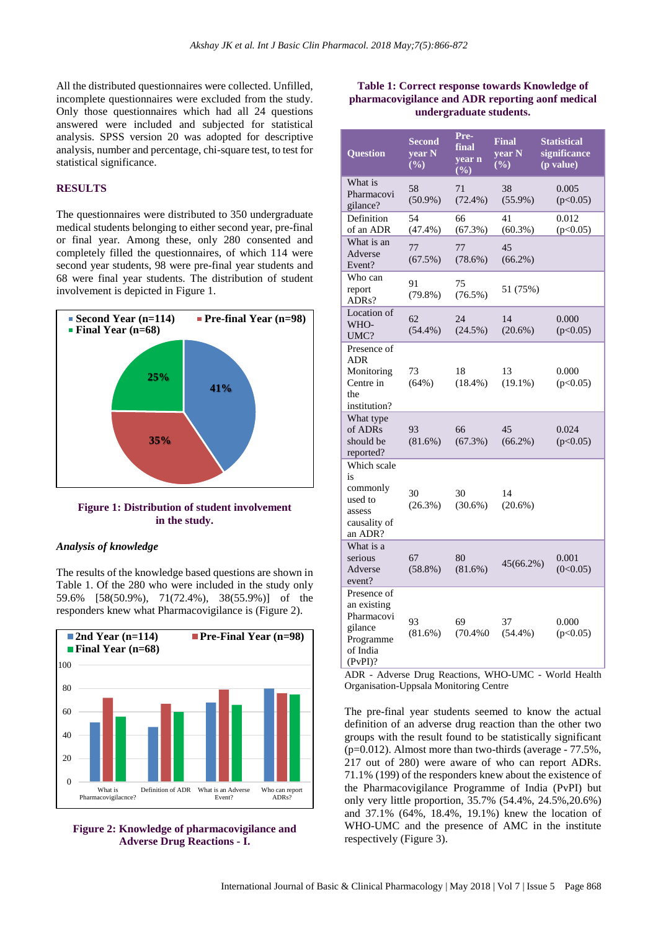All the distributed questionnaires were collected. Unfilled, incomplete questionnaires were excluded from the study. Only those questionnaires which had all 24 questions answered were included and subjected for statistical analysis. SPSS version 20 was adopted for descriptive analysis, number and percentage, chi-square test, to test for statistical significance.

#### **RESULTS**

The questionnaires were distributed to 350 undergraduate medical students belonging to either second year, pre-final or final year. Among these, only 280 consented and completely filled the questionnaires, of which 114 were second year students, 98 were pre-final year students and 68 were final year students. The distribution of student involvement is depicted in Figure 1.



**Figure 1: Distribution of student involvement in the study.**

#### *Analysis of knowledge*

The results of the knowledge based questions are shown in Table 1. Of the 280 who were included in the study only 59.6% [58(50.9%), 71(72.4%), 38(55.9%)] of the responders knew what Pharmacovigilance is (Figure 2).





#### **Table 1: Correct response towards Knowledge of pharmacovigilance and ADR reporting aonf medical undergraduate students.**

| <b>Question</b>                                                                            | <b>Second</b><br>year N<br>$(\%)$ | Pre-<br>final<br>year n<br>$(\%)$ | <b>Final</b><br>year N<br>$(\%)$ | <b>Statistical</b><br>significance<br>(p value) |
|--------------------------------------------------------------------------------------------|-----------------------------------|-----------------------------------|----------------------------------|-------------------------------------------------|
| What is<br>Pharmacovi<br>gilance?                                                          | 58<br>$(50.9\%)$                  | 71<br>$(72.4\%)$                  | 38<br>$(55.9\%)$                 | 0.005<br>(p<0.05)                               |
| Definition<br>of an ADR                                                                    | 54<br>(47.4%)                     | 66<br>(67.3%)                     | 41<br>$(60.3\%)$                 | 0.012<br>(p<0.05)                               |
| What is an<br>Adverse<br>Event?                                                            | 77<br>(67.5%)                     | 77<br>$(78.6\%)$                  | 45<br>$(66.2\%)$                 |                                                 |
| Who can<br>report<br>ADRs?                                                                 | 91<br>$(79.8\%)$                  | 75<br>$(76.5\%)$                  | 51 (75%)                         |                                                 |
| Location of<br>WHO-<br>UMC?                                                                | 62<br>$(54.4\%)$                  | 24<br>$(24.5\%)$                  | 14<br>$(20.6\%)$                 | 0.000<br>(p<0.05)                               |
| Presence of<br>ADR<br>Monitoring<br>Centre in<br>the<br>institution?                       | 73<br>(64%)                       | 18<br>$(18.4\%)$                  | 13<br>$(19.1\%)$                 | 0.000<br>(p<0.05)                               |
| What type<br>of ADRs<br>should be<br>reported?                                             | 93<br>$(81.6\%)$                  | 66<br>$(67.3\%)$                  | 45<br>$(66.2\%)$                 | 0.024<br>(p<0.05)                               |
| Which scale<br>is<br>commonly<br>used to<br>assess<br>causality of<br>an ADR?              | 30<br>$(26.3\%)$                  | 30<br>$(30.6\%)$                  | 14<br>$(20.6\%)$                 |                                                 |
| What is a<br>serious<br>Adverse<br>event?                                                  | 67<br>$(58.8\%)$                  | 80<br>$(81.6\%)$                  | 45(66.2%)                        | 0.001<br>(0<0.05)                               |
| Presence of<br>an existing<br>Pharmacovi<br>gilance<br>Programme<br>of India<br>$(PvPI)$ ? | 93<br>$(81.6\%)$                  | 69<br>(70.4%0                     | 37<br>$(54.4\%)$                 | 0.000<br>(p<0.05)                               |

ADR - Adverse Drug Reactions, WHO-UMC - World Health Organisation-Uppsala Monitoring Centre

The pre-final year students seemed to know the actual definition of an adverse drug reaction than the other two groups with the result found to be statistically significant  $(p=0.012)$ . Almost more than two-thirds (average - 77.5%, 217 out of 280) were aware of who can report ADRs. 71.1% (199) of the responders knew about the existence of the Pharmacovigilance Programme of India (PvPI) but only very little proportion, 35.7% (54.4%, 24.5%,20.6%) and 37.1% (64%, 18.4%, 19.1%) knew the location of WHO-UMC and the presence of AMC in the institute respectively (Figure 3).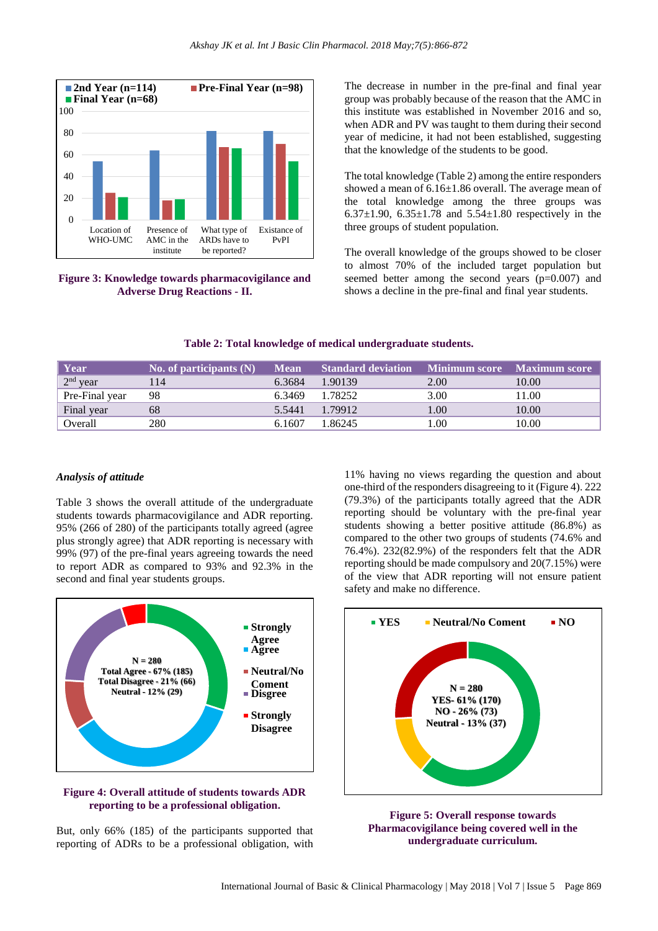

**Figure 3: Knowledge towards pharmacovigilance and Adverse Drug Reactions - II.**

The decrease in number in the pre-final and final year group was probably because of the reason that the AMC in this institute was established in November 2016 and so, when ADR and PV was taught to them during their second year of medicine, it had not been established, suggesting that the knowledge of the students to be good.

The total knowledge (Table 2) among the entire responders showed a mean of 6.16±1.86 overall. The average mean of the total knowledge among the three groups was 6.37 $\pm$ 1.90, 6.35 $\pm$ 1.78 and 5.54 $\pm$ 1.80 respectively in the three groups of student population.

The overall knowledge of the groups showed to be closer to almost 70% of the included target population but seemed better among the second years (p=0.007) and shows a decline in the pre-final and final year students.

| Year                         | No. of participants $(N)$ | <b>Mean</b> | <b>Standard deviation</b> | <b>1 Minimum score Maximum score</b> |       |
|------------------------------|---------------------------|-------------|---------------------------|--------------------------------------|-------|
| $\vert$ 2 <sup>nd</sup> year | 114                       | 6.3684      | 1.90139                   | 2.00                                 | 10.00 |
| Pre-Final year               | 98                        | 6.3469      | 1.78252                   | 3.00                                 | 11.00 |
| Final year                   | 68                        | 5.5441      | 1.79912                   | 1.00                                 | 10.00 |
| Overall                      | 280                       | 6.1607      | 1.86245                   | .00                                  | 10.00 |

#### *Analysis of attitude*

Table 3 shows the overall attitude of the undergraduate students towards pharmacovigilance and ADR reporting. 95% (266 of 280) of the participants totally agreed (agree plus strongly agree) that ADR reporting is necessary with 99% (97) of the pre-final years agreeing towards the need to report ADR as compared to 93% and 92.3% in the second and final year students groups.





But, only 66% (185) of the participants supported that reporting of ADRs to be a professional obligation, with 11% having no views regarding the question and about one-third of the responders disagreeing to it (Figure 4). 222 (79.3%) of the participants totally agreed that the ADR reporting should be voluntary with the pre-final year students showing a better positive attitude (86.8%) as compared to the other two groups of students (74.6% and 76.4%). 232(82.9%) of the responders felt that the ADR reporting should be made compulsory and 20(7.15%) were of the view that ADR reporting will not ensure patient safety and make no difference.



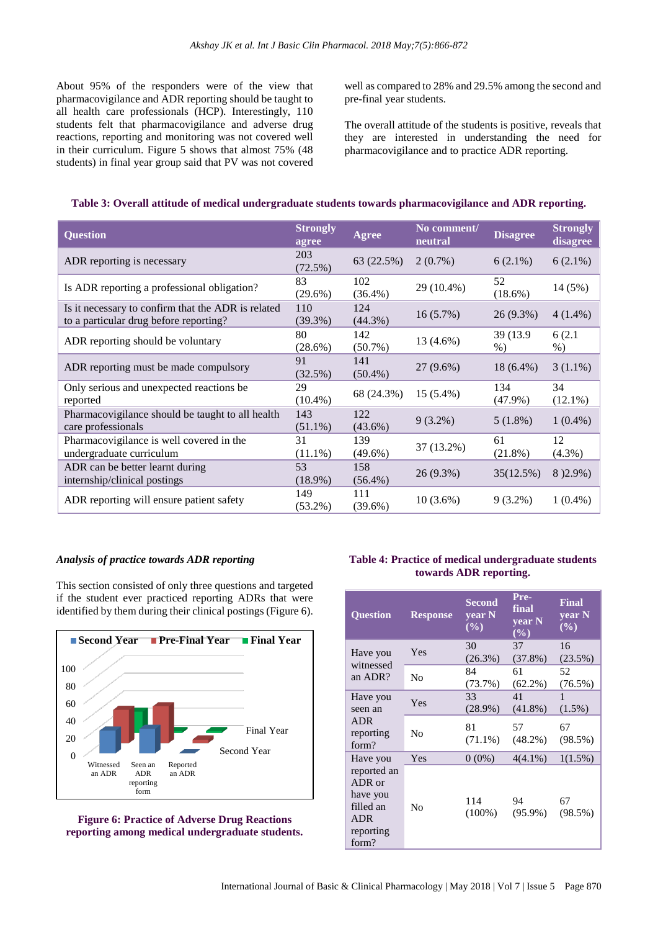About 95% of the responders were of the view that pharmacovigilance and ADR reporting should be taught to all health care professionals (HCP). Interestingly, 110 students felt that pharmacovigilance and adverse drug reactions, reporting and monitoring was not covered well in their curriculum. Figure 5 shows that almost 75% (48 students) in final year group said that PV was not covered well as compared to 28% and 29.5% among the second and pre-final year students.

The overall attitude of the students is positive, reveals that they are interested in understanding the need for pharmacovigilance and to practice ADR reporting.

| <b>Question</b>                                                                              | <b>Strongly</b><br>agree | <b>Agree</b>      | No comment/<br>neutral | <b>Disagree</b>    | <b>Strongly</b><br>disagree |
|----------------------------------------------------------------------------------------------|--------------------------|-------------------|------------------------|--------------------|-----------------------------|
| ADR reporting is necessary                                                                   | 203<br>(72.5%)           | 63 (22.5%)        | $2(0.7\%)$             | $6(2.1\%)$         | $6(2.1\%)$                  |
| Is ADR reporting a professional obligation?                                                  | 83<br>$(29.6\%)$         | 102<br>$(36.4\%)$ | 29 (10.4%)             | 52<br>$(18.6\%)$   | 14 (5%)                     |
| Is it necessary to confirm that the ADR is related<br>to a particular drug before reporting? | 110<br>$(39.3\%)$        | 124<br>$(44.3\%)$ | 16(5.7%)               | 26 (9.3%)          | $4(1.4\%)$                  |
| ADR reporting should be voluntary                                                            | 80<br>$(28.6\%)$         | 142<br>$(50.7\%)$ | 13 (4.6%)              | 39 (13.9)<br>$%$ ) | 6(2.1)<br>$%$ )             |
| ADR reporting must be made compulsory                                                        | 91<br>(32.5%)            | 141<br>$(50.4\%)$ | 27 (9.6%)              | $18(6.4\%)$        | $3(1.1\%)$                  |
| Only serious and unexpected reactions be.<br>reported                                        | 29<br>$(10.4\%)$         | 68 (24.3%)        | $15(5.4\%)$            | 134<br>$(47.9\%)$  | 34<br>$(12.1\%)$            |
| Pharmacovigilance should be taught to all health<br>care professionals                       | 143<br>$(51.1\%)$        | 122<br>$(43.6\%)$ | $9(3.2\%)$             | $5(1.8\%)$         | $1(0.4\%)$                  |
| Pharmacovigilance is well covered in the<br>undergraduate curriculum                         | 31<br>$(11.1\%)$         | 139<br>$(49.6\%)$ | 37 (13.2%)             | 61<br>$(21.8\%)$   | 12<br>$(4.3\%)$             |
| ADR can be better learnt during<br>internship/clinical postings                              | 53<br>$(18.9\%)$         | 158<br>$(56.4\%)$ | 26 (9.3%)              | 35(12.5%)          | 8) 2.9%)                    |
| ADR reporting will ensure patient safety                                                     | 149<br>$(53.2\%)$        | 111<br>$(39.6\%)$ | $10(3.6\%)$            | $9(3.2\%)$         | $1(0.4\%)$                  |

## **Table 3: Overall attitude of medical undergraduate students towards pharmacovigilance and ADR reporting.**

#### *Analysis of practice towards ADR reporting*

This section consisted of only three questions and targeted if the student ever practiced reporting ADRs that were identified by them during their clinical postings (Figure 6).



**Figure 6: Practice of Adverse Drug Reactions reporting among medical undergraduate students.**

### **Table 4: Practice of medical undergraduate students towards ADR reporting.**

| <b>Question</b>                                                                                | <b>Response</b> | <b>Second</b><br>year N<br>$(\%)$ | Pre-<br>final<br>year N<br>$(\%)$ | <b>Final</b><br>year N<br>$(\%)$ |
|------------------------------------------------------------------------------------------------|-----------------|-----------------------------------|-----------------------------------|----------------------------------|
| Have you<br>witnessed<br>an ADR?                                                               | Yes             | 30<br>$(26.3\%)$                  | 37<br>$(37.8\%)$                  | 16<br>(23.5%)                    |
|                                                                                                | N <sub>0</sub>  | 84<br>$(73.7\%)$                  | 61<br>$(62.2\%)$                  | 52<br>$(76.5\%)$                 |
| Have you<br>seen an<br><b>ADR</b><br>reporting<br>form?                                        | Yes             | 33<br>$(28.9\%)$                  | 41<br>$(41.8\%)$                  | 1<br>$(1.5\%)$                   |
|                                                                                                | N <sub>0</sub>  | 81<br>$(71.1\%)$                  | 57<br>$(48.2\%)$                  | 67<br>$(98.5\%)$                 |
| Have you<br>reported an<br>ADR or<br>have you<br>filled an<br><b>ADR</b><br>reporting<br>form? | Yes             | $0(0\%)$                          | $4(4.1\%)$                        | $1(1.5\%)$                       |
|                                                                                                | No              | 114<br>$(100\%)$                  | 94<br>$(95.9\%)$                  | 67<br>$(98.5\%)$                 |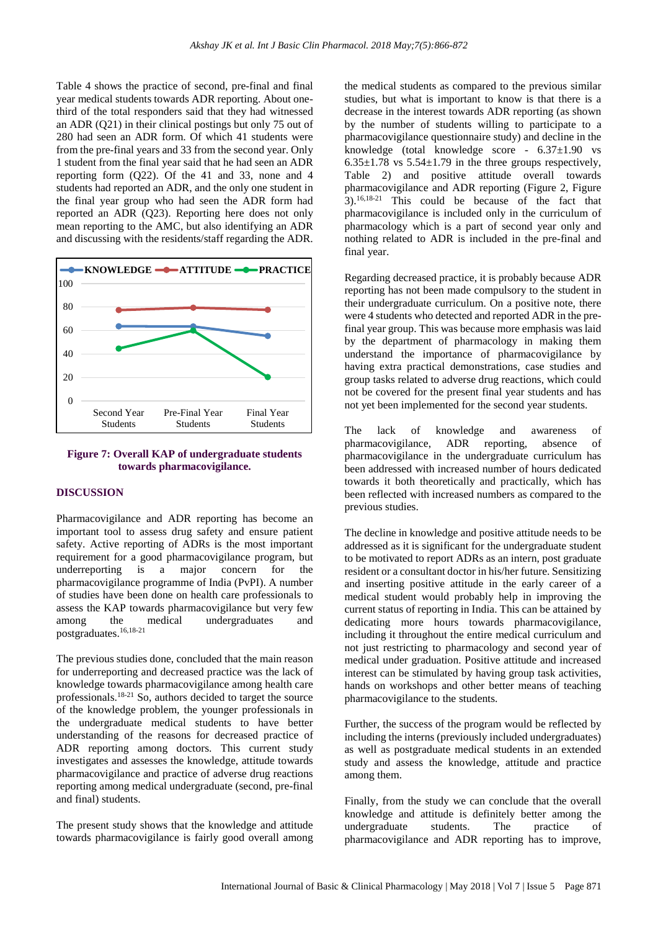Table 4 shows the practice of second, pre-final and final year medical students towards ADR reporting. About onethird of the total responders said that they had witnessed an ADR (Q21) in their clinical postings but only 75 out of 280 had seen an ADR form. Of which 41 students were from the pre-final years and 33 from the second year. Only 1 student from the final year said that he had seen an ADR reporting form (Q22). Of the 41 and 33, none and 4 students had reported an ADR, and the only one student in the final year group who had seen the ADR form had reported an ADR (Q23). Reporting here does not only mean reporting to the AMC, but also identifying an ADR and discussing with the residents/staff regarding the ADR.



#### **Figure 7: Overall KAP of undergraduate students towards pharmacovigilance.**

#### **DISCUSSION**

Pharmacovigilance and ADR reporting has become an important tool to assess drug safety and ensure patient safety. Active reporting of ADRs is the most important requirement for a good pharmacovigilance program, but underreporting is a major concern for the pharmacovigilance programme of India (PvPI). A number of studies have been done on health care professionals to assess the KAP towards pharmacovigilance but very few among the medical undergraduates and postgraduates.16,18-21

The previous studies done, concluded that the main reason for underreporting and decreased practice was the lack of knowledge towards pharmacovigilance among health care professionals.18-21 So, authors decided to target the source of the knowledge problem, the younger professionals in the undergraduate medical students to have better understanding of the reasons for decreased practice of ADR reporting among doctors. This current study investigates and assesses the knowledge, attitude towards pharmacovigilance and practice of adverse drug reactions reporting among medical undergraduate (second, pre-final and final) students.

The present study shows that the knowledge and attitude towards pharmacovigilance is fairly good overall among the medical students as compared to the previous similar studies, but what is important to know is that there is a decrease in the interest towards ADR reporting (as shown by the number of students willing to participate to a pharmacovigilance questionnaire study) and decline in the knowledge (total knowledge score - 6.37±1.90 vs  $6.35\pm1.78$  vs  $5.54\pm1.79$  in the three groups respectively, Table 2) and positive attitude overall towards pharmacovigilance and ADR reporting (Figure 2, Figure 3).16,18-21 This could be because of the fact that pharmacovigilance is included only in the curriculum of pharmacology which is a part of second year only and nothing related to ADR is included in the pre-final and final year.

Regarding decreased practice, it is probably because ADR reporting has not been made compulsory to the student in their undergraduate curriculum. On a positive note, there were 4 students who detected and reported ADR in the prefinal year group. This was because more emphasis was laid by the department of pharmacology in making them understand the importance of pharmacovigilance by having extra practical demonstrations, case studies and group tasks related to adverse drug reactions, which could not be covered for the present final year students and has not yet been implemented for the second year students.

The lack of knowledge and awareness of pharmacovigilance, ADR reporting, absence of pharmacovigilance in the undergraduate curriculum has been addressed with increased number of hours dedicated towards it both theoretically and practically, which has been reflected with increased numbers as compared to the previous studies.

The decline in knowledge and positive attitude needs to be addressed as it is significant for the undergraduate student to be motivated to report ADRs as an intern, post graduate resident or a consultant doctor in his/her future. Sensitizing and inserting positive attitude in the early career of a medical student would probably help in improving the current status of reporting in India. This can be attained by dedicating more hours towards pharmacovigilance, including it throughout the entire medical curriculum and not just restricting to pharmacology and second year of medical under graduation. Positive attitude and increased interest can be stimulated by having group task activities, hands on workshops and other better means of teaching pharmacovigilance to the students.

Further, the success of the program would be reflected by including the interns (previously included undergraduates) as well as postgraduate medical students in an extended study and assess the knowledge, attitude and practice among them.

Finally, from the study we can conclude that the overall knowledge and attitude is definitely better among the undergraduate students. The practice of pharmacovigilance and ADR reporting has to improve,